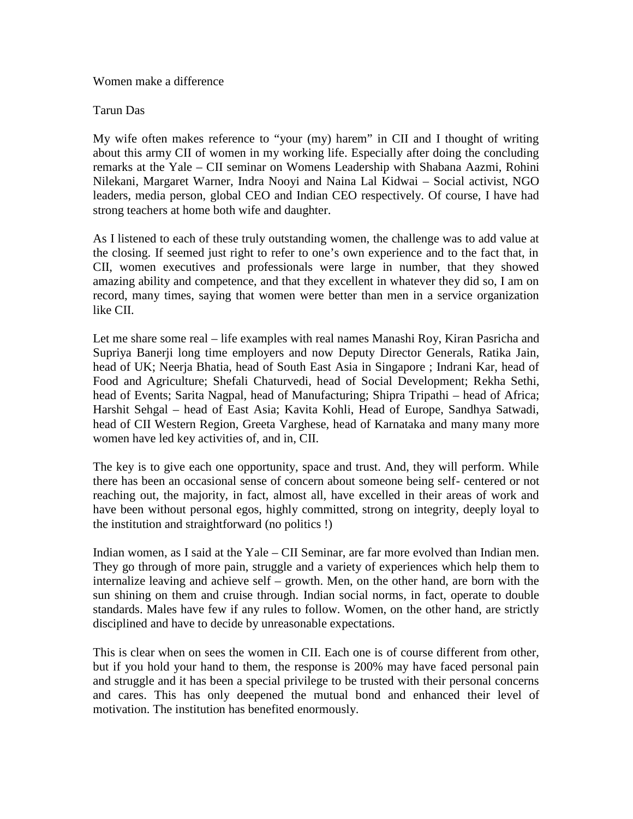## Women make a difference

## Tarun Das

My wife often makes reference to "your (my) harem" in CII and I thought of writing about this army CII of women in my working life. Especially after doing the concluding remarks at the Yale – CII seminar on Womens Leadership with Shabana Aazmi, Rohini Nilekani, Margaret Warner, Indra Nooyi and Naina Lal Kidwai – Social activist, NGO leaders, media person, global CEO and Indian CEO respectively. Of course, I have had strong teachers at home both wife and daughter.

As I listened to each of these truly outstanding women, the challenge was to add value at the closing. If seemed just right to refer to one's own experience and to the fact that, in CII, women executives and professionals were large in number, that they showed amazing ability and competence, and that they excellent in whatever they did so, I am on record, many times, saying that women were better than men in a service organization like CII.

Let me share some real – life examples with real names Manashi Roy, Kiran Pasricha and Supriya Banerji long time employers and now Deputy Director Generals, Ratika Jain, head of UK; Neerja Bhatia, head of South East Asia in Singapore ; Indrani Kar, head of Food and Agriculture; Shefali Chaturvedi, head of Social Development; Rekha Sethi, head of Events; Sarita Nagpal, head of Manufacturing; Shipra Tripathi – head of Africa; Harshit Sehgal – head of East Asia; Kavita Kohli, Head of Europe, Sandhya Satwadi, head of CII Western Region, Greeta Varghese, head of Karnataka and many many more women have led key activities of, and in, CII.

The key is to give each one opportunity, space and trust. And, they will perform. While there has been an occasional sense of concern about someone being self- centered or not reaching out, the majority, in fact, almost all, have excelled in their areas of work and have been without personal egos, highly committed, strong on integrity, deeply loyal to the institution and straightforward (no politics !)

Indian women, as I said at the Yale – CII Seminar, are far more evolved than Indian men. They go through of more pain, struggle and a variety of experiences which help them to internalize leaving and achieve self – growth. Men, on the other hand, are born with the sun shining on them and cruise through. Indian social norms, in fact, operate to double standards. Males have few if any rules to follow. Women, on the other hand, are strictly disciplined and have to decide by unreasonable expectations.

This is clear when on sees the women in CII. Each one is of course different from other, but if you hold your hand to them, the response is 200% may have faced personal pain and struggle and it has been a special privilege to be trusted with their personal concerns and cares. This has only deepened the mutual bond and enhanced their level of motivation. The institution has benefited enormously.